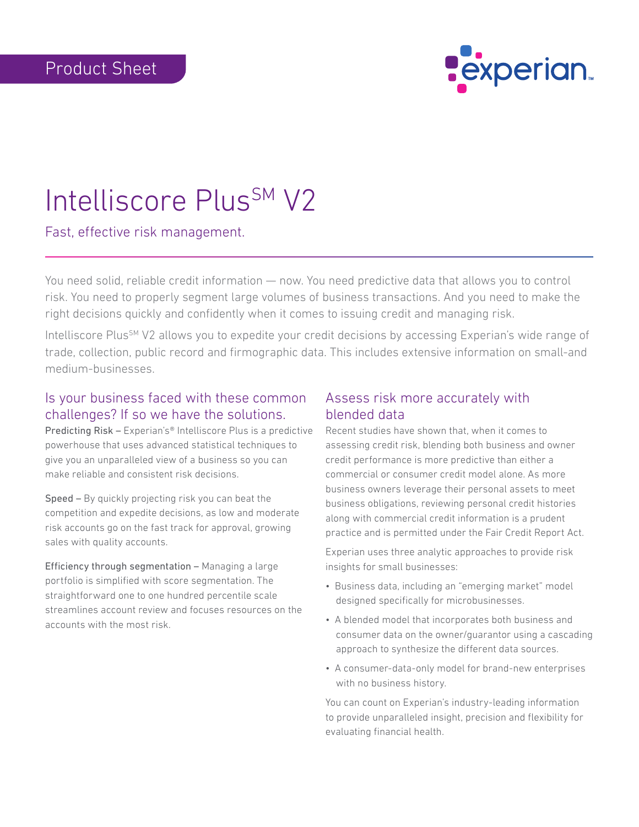

## Intelliscore Plus<sup>SM</sup> V2

Fast, effective risk management.

You need solid, reliable credit information — now. You need predictive data that allows you to control risk. You need to properly segment large volumes of business transactions. And you need to make the right decisions quickly and confidently when it comes to issuing credit and managing risk.

Intelliscore Plus<sup>SM</sup> V2 allows you to expedite your credit decisions by accessing Experian's wide range of trade, collection, public record and firmographic data. This includes extensive information on small-and medium-businesses.

## Is your business faced with these common challenges? If so we have the solutions.

Predicting Risk – Experian's® Intelliscore Plus is a predictive powerhouse that uses advanced statistical techniques to give you an unparalleled view of a business so you can make reliable and consistent risk decisions.

Speed – By quickly projecting risk you can beat the competition and expedite decisions, as low and moderate risk accounts go on the fast track for approval, growing sales with quality accounts.

Efficiency through segmentation – Managing a large portfolio is simplified with score segmentation. The straightforward one to one hundred percentile scale streamlines account review and focuses resources on the accounts with the most risk.

## Assess risk more accurately with blended data

Recent studies have shown that, when it comes to assessing credit risk, blending both business and owner credit performance is more predictive than either a commercial or consumer credit model alone. As more business owners leverage their personal assets to meet business obligations, reviewing personal credit histories along with commercial credit information is a prudent practice and is permitted under the Fair Credit Report Act.

Experian uses three analytic approaches to provide risk insights for small businesses:

- Business data, including an "emerging market" model designed specifically for microbusinesses.
- A blended model that incorporates both business and consumer data on the owner/guarantor using a cascading approach to synthesize the different data sources.
- A consumer-data-only model for brand-new enterprises with no business history.

You can count on Experian's industry-leading information to provide unparalleled insight, precision and flexibility for evaluating financial health.